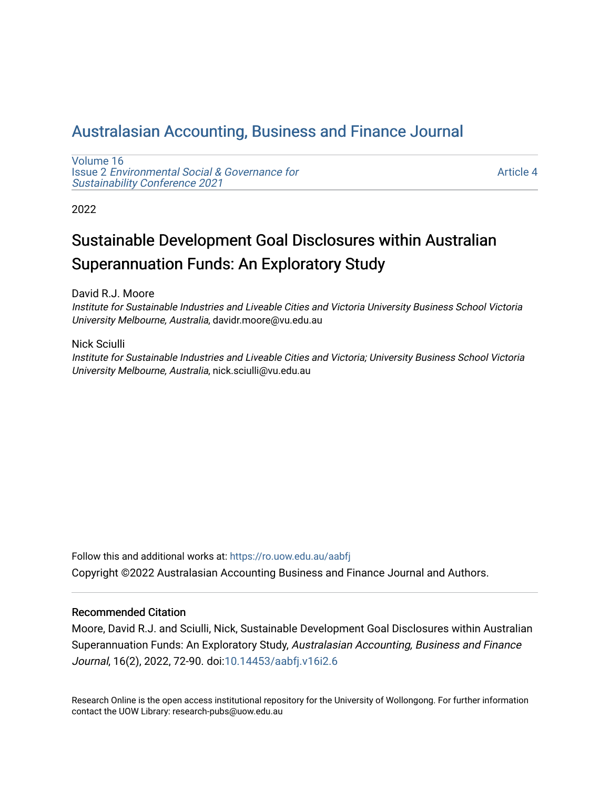# [Australasian Accounting, Business and Finance Journal](https://ro.uow.edu.au/aabfj)

[Volume 16](https://ro.uow.edu.au/aabfj/vol16) Issue 2 [Environmental Social & Governance for](https://ro.uow.edu.au/aabfj/vol16/iss2)  [Sustainability Conference 2021](https://ro.uow.edu.au/aabfj/vol16/iss2) 

[Article 4](https://ro.uow.edu.au/aabfj/vol16/iss2/4) 

2022

# Sustainable Development Goal Disclosures within Australian Superannuation Funds: An Exploratory Study

David R.J. Moore

Institute for Sustainable Industries and Liveable Cities and Victoria University Business School Victoria University Melbourne, Australia, davidr.moore@vu.edu.au

Nick Sciulli Institute for Sustainable Industries and Liveable Cities and Victoria; University Business School Victoria University Melbourne, Australia, nick.sciulli@vu.edu.au

Follow this and additional works at: [https://ro.uow.edu.au/aabfj](https://ro.uow.edu.au/aabfj?utm_source=ro.uow.edu.au%2Faabfj%2Fvol16%2Fiss2%2F4&utm_medium=PDF&utm_campaign=PDFCoverPages) Copyright ©2022 Australasian Accounting Business and Finance Journal and Authors.

#### Recommended Citation

Moore, David R.J. and Sciulli, Nick, Sustainable Development Goal Disclosures within Australian Superannuation Funds: An Exploratory Study, Australasian Accounting, Business and Finance Journal, 16(2), 2022, 72-90. doi[:10.14453/aabfj.v16i2.6](http://dx.doi.org/10.14453/aabfj.v16i2.6)

Research Online is the open access institutional repository for the University of Wollongong. For further information contact the UOW Library: research-pubs@uow.edu.au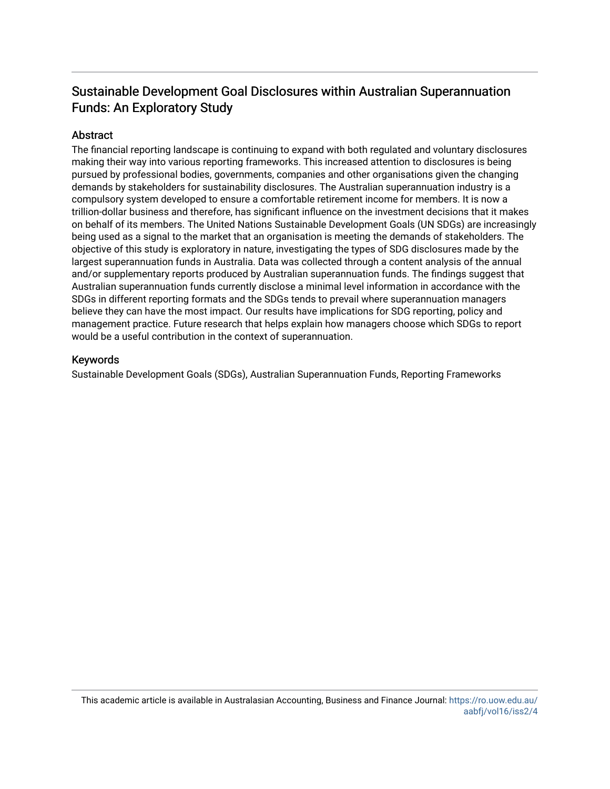# Sustainable Development Goal Disclosures within Australian Superannuation Funds: An Exploratory Study

### **Abstract**

The financial reporting landscape is continuing to expand with both regulated and voluntary disclosures making their way into various reporting frameworks. This increased attention to disclosures is being pursued by professional bodies, governments, companies and other organisations given the changing demands by stakeholders for sustainability disclosures. The Australian superannuation industry is a compulsory system developed to ensure a comfortable retirement income for members. It is now a trillion-dollar business and therefore, has significant influence on the investment decisions that it makes on behalf of its members. The United Nations Sustainable Development Goals (UN SDGs) are increasingly being used as a signal to the market that an organisation is meeting the demands of stakeholders. The objective of this study is exploratory in nature, investigating the types of SDG disclosures made by the largest superannuation funds in Australia. Data was collected through a content analysis of the annual and/or supplementary reports produced by Australian superannuation funds. The findings suggest that Australian superannuation funds currently disclose a minimal level information in accordance with the SDGs in different reporting formats and the SDGs tends to prevail where superannuation managers believe they can have the most impact. Our results have implications for SDG reporting, policy and management practice. Future research that helps explain how managers choose which SDGs to report would be a useful contribution in the context of superannuation.

#### Keywords

Sustainable Development Goals (SDGs), Australian Superannuation Funds, Reporting Frameworks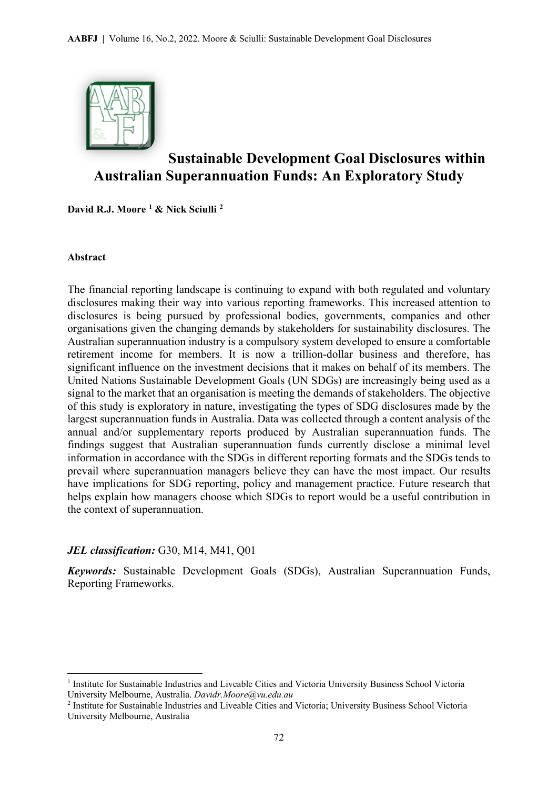

# **Sustainable Development Goal Disclosures within Australian Superannuation Funds: An Exploratory Study**

**David R.J. Moore [1](#page-2-0) & Nick Sciulli [2](#page-2-1)**

#### **Abstract**

 $\overline{a}$ 

The financial reporting landscape is continuing to expand with both regulated and voluntary disclosures making their way into various reporting frameworks. This increased attention to disclosures is being pursued by professional bodies, governments, companies and other organisations given the changing demands by stakeholders for sustainability disclosures. The Australian superannuation industry is a compulsory system developed to ensure a comfortable retirement income for members. It is now a trillion-dollar business and therefore, has significant influence on the investment decisions that it makes on behalf of its members. The United Nations Sustainable Development Goals (UN SDGs) are increasingly being used as a signal to the market that an organisation is meeting the demands of stakeholders. The objective of this study is exploratory in nature, investigating the types of SDG disclosures made by the largest superannuation funds in Australia. Data was collected through a content analysis of the annual and/or supplementary reports produced by Australian superannuation funds. The findings suggest that Australian superannuation funds currently disclose a minimal level information in accordance with the SDGs in different reporting formats and the SDGs tends to prevail where superannuation managers believe they can have the most impact. Our results have implications for SDG reporting, policy and management practice. Future research that helps explain how managers choose which SDGs to report would be a useful contribution in the context of superannuation.

### *JEL classification:* G30, M14, M41, Q01

*Keywords:* Sustainable Development Goals (SDGs), Australian Superannuation Funds, Reporting Frameworks.

<span id="page-2-0"></span><sup>&</sup>lt;sup>1</sup> Institute for Sustainable Industries and Liveable Cities and Victoria University Business School Victoria University Melbourne, Australia. *Davidr.Moore@vu.edu.au*

<span id="page-2-1"></span><sup>2</sup> Institute for Sustainable Industries and Liveable Cities and Victoria; University Business School Victoria University Melbourne, Australia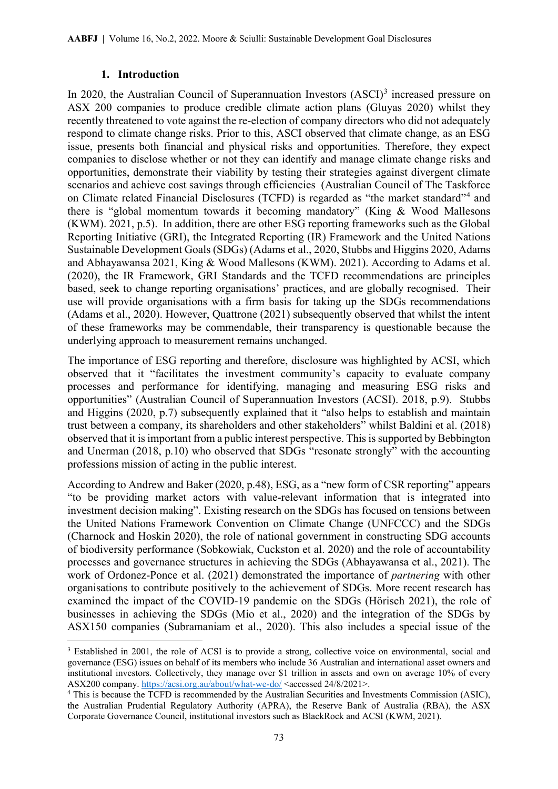#### **1. Introduction**

 $\overline{a}$ 

In 2020, the Australian Council of Superannuation Investors (ASCI)<sup>[3](#page-3-0)</sup> increased pressure on ASX 200 companies to produce credible climate action plans (Gluyas 2020) whilst they recently threatened to vote against the re-election of company directors who did not adequately respond to climate change risks. Prior to this, ASCI observed that climate change, as an ESG issue, presents both financial and physical risks and opportunities. Therefore, they expect companies to disclose whether or not they can identify and manage climate change risks and opportunities, demonstrate their viability by testing their strategies against divergent climate scenarios and achieve cost savings through efficiencies (Australian Council of The Taskforce on Climate related Financial Disclosures (TCFD) is regarded as "the market standard"<sup>[4](#page-3-1)</sup> and there is "global momentum towards it becoming mandatory" (King & Wood Mallesons (KWM). 2021, p.5). In addition, there are other ESG reporting frameworks such as the Global Reporting Initiative (GRI), the Integrated Reporting (IR) Framework and the United Nations Sustainable Development Goals (SDGs) (Adams et al., 2020, Stubbs and Higgins 2020, Adams and Abhayawansa 2021, King & Wood Mallesons (KWM). 2021). According to Adams et al. (2020), the IR Framework, GRI Standards and the TCFD recommendations are principles based, seek to change reporting organisations' practices, and are globally recognised. Their use will provide organisations with a firm basis for taking up the SDGs recommendations (Adams et al., 2020). However, Quattrone (2021) subsequently observed that whilst the intent of these frameworks may be commendable, their transparency is questionable because the underlying approach to measurement remains unchanged.

The importance of ESG reporting and therefore, disclosure was highlighted by ACSI, which observed that it "facilitates the investment community's capacity to evaluate company processes and performance for identifying, managing and measuring ESG risks and opportunities" (Australian Council of Superannuation Investors (ACSI). 2018, p.9). Stubbs and Higgins (2020, p.7) subsequently explained that it "also helps to establish and maintain trust between a company, its shareholders and other stakeholders" whilst Baldini et al. (2018) observed that it is important from a public interest perspective. This is supported by Bebbington and Unerman (2018, p.10) who observed that SDGs "resonate strongly" with the accounting professions mission of acting in the public interest.

According to Andrew and Baker (2020, p.48), ESG, as a "new form of CSR reporting" appears "to be providing market actors with value-relevant information that is integrated into investment decision making". Existing research on the SDGs has focused on tensions between the United Nations Framework Convention on Climate Change (UNFCCC) and the SDGs (Charnock and Hoskin 2020), the role of national government in constructing SDG accounts of biodiversity performance (Sobkowiak, Cuckston et al. 2020) and the role of accountability processes and governance structures in achieving the SDGs (Abhayawansa et al., 2021). The work of Ordonez-Ponce et al. (2021) demonstrated the importance of *partnering* with other organisations to contribute positively to the achievement of SDGs. More recent research has examined the impact of the COVID-19 pandemic on the SDGs (Hörisch 2021), the role of businesses in achieving the SDGs (Mio et al., 2020) and the integration of the SDGs by ASX150 companies (Subramaniam et al., 2020). This also includes a special issue of the

<span id="page-3-0"></span><sup>&</sup>lt;sup>3</sup> Established in 2001, the role of ACSI is to provide a strong, collective voice on environmental, social and governance (ESG) issues on behalf of its members who include 36 Australian and international asset owners and institutional investors. Collectively, they manage over \$1 trillion in assets and own on average 10% of every ASX200 company. [https://acsi.org.au/about/what-we-do/](about:blank) <accessed 24/8/2021>.

<span id="page-3-1"></span><sup>4</sup> This is because the TCFD is recommended by the Australian Securities and Investments Commission (ASIC), the Australian Prudential Regulatory Authority (APRA), the Reserve Bank of Australia (RBA), the ASX Corporate Governance Council, institutional investors such as BlackRock and ACSI (KWM, 2021).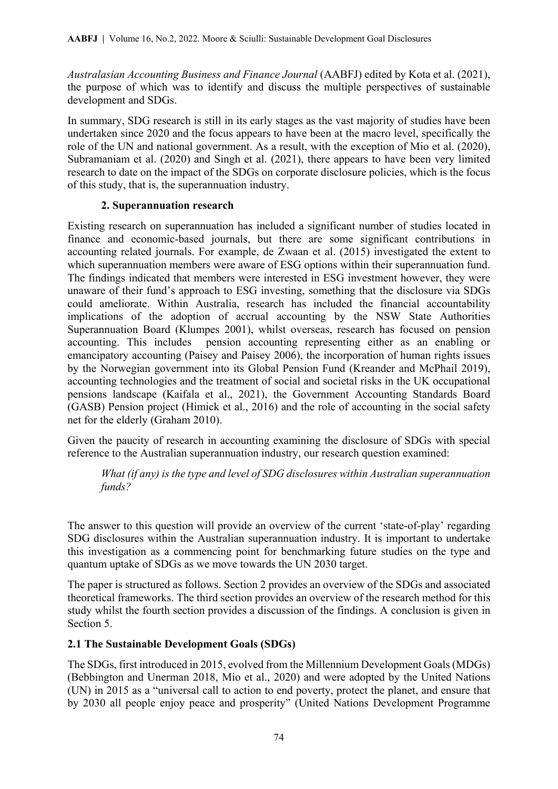*Australasian Accounting Business and Finance Journal* (AABFJ) edited by Kota et al. (2021), the purpose of which was to identify and discuss the multiple perspectives of sustainable development and SDGs.

In summary, SDG research is still in its early stages as the vast majority of studies have been undertaken since 2020 and the focus appears to have been at the macro level, specifically the role of the UN and national government. As a result, with the exception of Mio et al. (2020), Subramaniam et al. (2020) and Singh et al. (2021), there appears to have been very limited research to date on the impact of the SDGs on corporate disclosure policies, which is the focus of this study, that is, the superannuation industry.

### **2. Superannuation research**

Existing research on superannuation has included a significant number of studies located in finance and economic-based journals, but there are some significant contributions in accounting related journals. For example, de Zwaan et al. (2015) investigated the extent to which superannuation members were aware of ESG options within their superannuation fund. The findings indicated that members were interested in ESG investment however, they were unaware of their fund's approach to ESG investing, something that the disclosure via SDGs could ameliorate. Within Australia, research has included the financial accountability implications of the adoption of accrual accounting by the NSW State Authorities Superannuation Board (Klumpes 2001), whilst overseas, research has focused on pension accounting. This includes pension accounting representing either as an enabling or emancipatory accounting (Paisey and Paisey 2006), the incorporation of human rights issues by the Norwegian government into its Global Pension Fund (Kreander and McPhail 2019), accounting technologies and the treatment of social and societal risks in the UK occupational pensions landscape (Kaifala et al., 2021), the Government Accounting Standards Board (GASB) Pension project (Himick et al., 2016) and the role of accounting in the social safety net for the elderly (Graham 2010).

Given the paucity of research in accounting examining the disclosure of SDGs with special reference to the Australian superannuation industry, our research question examined:

*What (if any) is the type and level of SDG disclosures within Australian superannuation funds?*

The answer to this question will provide an overview of the current 'state-of-play' regarding SDG disclosures within the Australian superannuation industry. It is important to undertake this investigation as a commencing point for benchmarking future studies on the type and quantum uptake of SDGs as we move towards the UN 2030 target.

The paper is structured as follows. Section 2 provides an overview of the SDGs and associated theoretical frameworks. The third section provides an overview of the research method for this study whilst the fourth section provides a discussion of the findings. A conclusion is given in Section 5.

### **2.1 The Sustainable Development Goals (SDGs)**

The SDGs, first introduced in 2015, evolved from the Millennium Development Goals (MDGs) (Bebbington and Unerman 2018, Mio et al., 2020) and were adopted by the United Nations (UN) in 2015 as a "universal call to action to end poverty, protect the planet, and ensure that by 2030 all people enjoy peace and prosperity" (United Nations Development Programme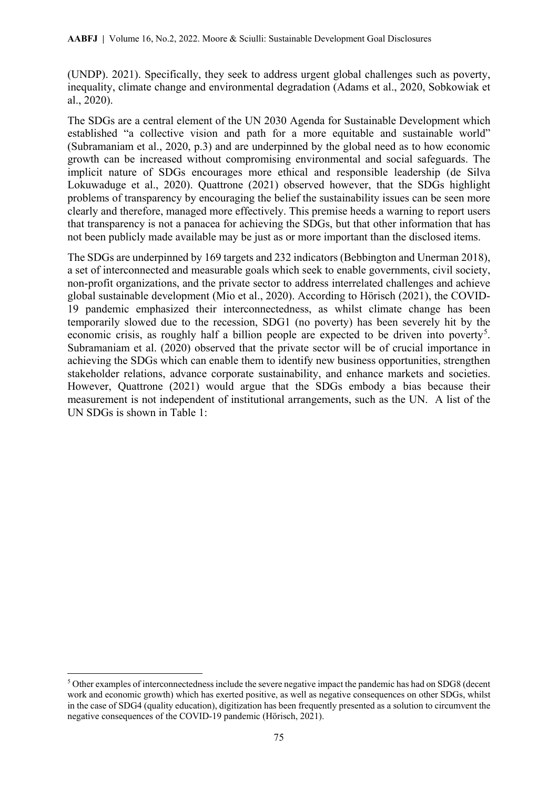(UNDP). 2021). Specifically, they seek to address urgent global challenges such as poverty, inequality, climate change and environmental degradation (Adams et al., 2020, Sobkowiak et al., 2020).

The SDGs are a central element of the UN 2030 Agenda for Sustainable Development which established "a collective vision and path for a more equitable and sustainable world" (Subramaniam et al., 2020, p.3) and are underpinned by the global need as to how economic growth can be increased without compromising environmental and social safeguards. The implicit nature of SDGs encourages more ethical and responsible leadership (de Silva Lokuwaduge et al., 2020). Quattrone (2021) observed however, that the SDGs highlight problems of transparency by encouraging the belief the sustainability issues can be seen more clearly and therefore, managed more effectively. This premise heeds a warning to report users that transparency is not a panacea for achieving the SDGs, but that other information that has not been publicly made available may be just as or more important than the disclosed items.

The SDGs are underpinned by 169 targets and 232 indicators (Bebbington and Unerman 2018), a set of interconnected and measurable goals which seek to enable governments, civil society, non-profit organizations, and the private sector to address interrelated challenges and achieve global sustainable development (Mio et al., 2020). According to Hörisch (2021), the COVID-19 pandemic emphasized their interconnectedness, as whilst climate change has been temporarily slowed due to the recession, SDG1 (no poverty) has been severely hit by the economic crisis, as roughly half a billion people are expected to be driven into poverty<sup>[5](#page-5-0)</sup>. Subramaniam et al. (2020) observed that the private sector will be of crucial importance in achieving the SDGs which can enable them to identify new business opportunities, strengthen stakeholder relations, advance corporate sustainability, and enhance markets and societies. However, Quattrone (2021) would argue that the SDGs embody a bias because their measurement is not independent of institutional arrangements, such as the UN. A list of the UN SDGs is shown in Table 1:

 $\overline{a}$ 

<span id="page-5-0"></span><sup>5</sup> Other examples of interconnectedness include the severe negative impact the pandemic has had on SDG8 (decent work and economic growth) which has exerted positive, as well as negative consequences on other SDGs, whilst in the case of SDG4 (quality education), digitization has been frequently presented as a solution to circumvent the negative consequences of the COVID-19 pandemic (Hörisch, 2021).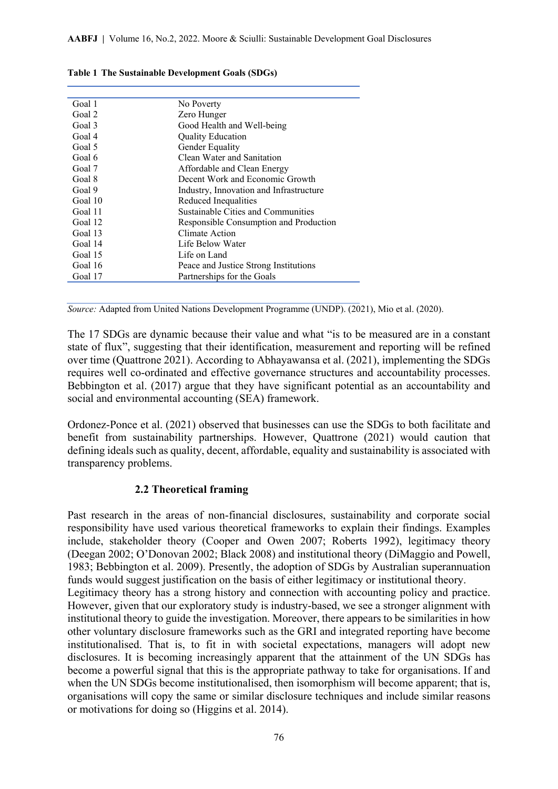| Goal 1  | No Poverty                              |
|---------|-----------------------------------------|
| Goal 2  | Zero Hunger                             |
| Goal 3  | Good Health and Well-being              |
| Goal 4  | <b>Quality Education</b>                |
| Goal 5  | Gender Equality                         |
| Goal 6  | Clean Water and Sanitation              |
| Goal 7  | Affordable and Clean Energy             |
| Goal 8  | Decent Work and Economic Growth         |
| Goal 9  | Industry, Innovation and Infrastructure |
| Goal 10 | Reduced Inequalities                    |
| Goal 11 | Sustainable Cities and Communities      |
| Goal 12 | Responsible Consumption and Production  |
| Goal 13 | Climate Action                          |
| Goal 14 | Life Below Water                        |
| Goal 15 | Life on Land                            |
| Goal 16 | Peace and Justice Strong Institutions   |
| Goal 17 | Partnerships for the Goals              |

**Table 1 The Sustainable Development Goals (SDGs)**

*Source:* Adapted from United Nations Development Programme (UNDP). (2021), Mio et al. (2020).

The 17 SDGs are dynamic because their value and what "is to be measured are in a constant state of flux", suggesting that their identification, measurement and reporting will be refined over time (Quattrone 2021). According to Abhayawansa et al. (2021), implementing the SDGs requires well co-ordinated and effective governance structures and accountability processes. Bebbington et al. (2017) argue that they have significant potential as an accountability and social and environmental accounting (SEA) framework.

Ordonez-Ponce et al. (2021) observed that businesses can use the SDGs to both facilitate and benefit from sustainability partnerships. However, Quattrone (2021) would caution that defining ideals such as quality, decent, affordable, equality and sustainability is associated with transparency problems.

#### **2.2 Theoretical framing**

Past research in the areas of non-financial disclosures, sustainability and corporate social responsibility have used various theoretical frameworks to explain their findings. Examples include, stakeholder theory (Cooper and Owen 2007; Roberts 1992), legitimacy theory (Deegan 2002; O'Donovan 2002; Black 2008) and institutional theory (DiMaggio and Powell, 1983; Bebbington et al. 2009). Presently, the adoption of SDGs by Australian superannuation funds would suggest justification on the basis of either legitimacy or institutional theory. Legitimacy theory has a strong history and connection with accounting policy and practice.

However, given that our exploratory study is industry-based, we see a stronger alignment with institutional theory to guide the investigation. Moreover, there appears to be similarities in how other voluntary disclosure frameworks such as the GRI and integrated reporting have become institutionalised. That is, to fit in with societal expectations, managers will adopt new disclosures. It is becoming increasingly apparent that the attainment of the UN SDGs has become a powerful signal that this is the appropriate pathway to take for organisations. If and when the UN SDGs become institutionalised, then isomorphism will become apparent; that is, organisations will copy the same or similar disclosure techniques and include similar reasons or motivations for doing so (Higgins et al. 2014).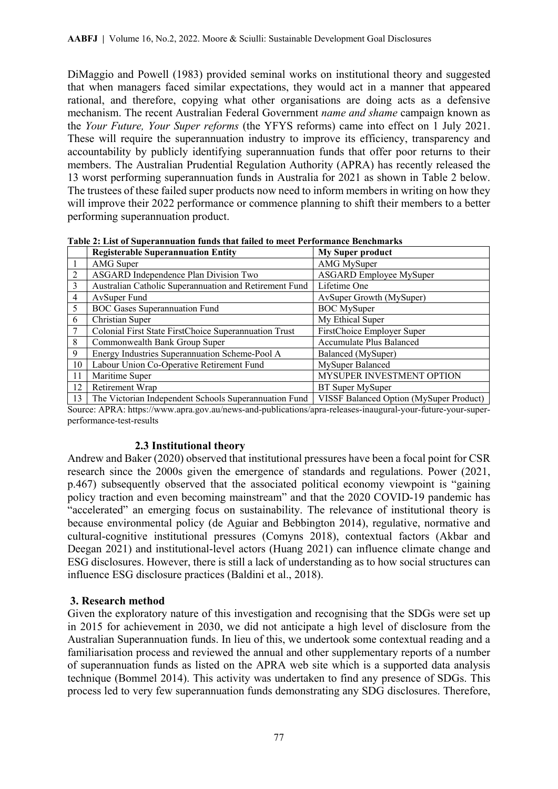DiMaggio and Powell (1983) provided seminal works on institutional theory and suggested that when managers faced similar expectations, they would act in a manner that appeared rational, and therefore, copying what other organisations are doing acts as a defensive mechanism. The recent Australian Federal Government *name and shame* campaign known as the *Your Future, Your Super reforms* (the YFYS reforms) came into effect on 1 July 2021. These will require the superannuation industry to improve its efficiency, transparency and accountability by publicly identifying superannuation funds that offer poor returns to their members. The Australian Prudential Regulation Authority (APRA) has recently released the 13 worst performing superannuation funds in Australia for 2021 as shown in Table 2 below. The trustees of these failed super products now need to inform members in writing on how they will improve their 2022 performance or commence planning to shift their members to a better performing superannuation product.

|                | <b>Registerable Superannuation Entity</b>              | <b>My Super product</b>                 |
|----------------|--------------------------------------------------------|-----------------------------------------|
|                | AMG Super                                              | AMG MySuper                             |
| 2              | ASGARD Independence Plan Division Two                  | ASGARD Employee MySuper                 |
| 3              | Australian Catholic Superannuation and Retirement Fund | Lifetime One                            |
| $\overline{4}$ | AvSuper Fund                                           | AvSuper Growth (MySuper)                |
| 5              | <b>BOC Gases Superannuation Fund</b>                   | <b>BOC</b> MySuper                      |
| 6              | Christian Super                                        | My Ethical Super                        |
| 7              | Colonial First State FirstChoice Superannuation Trust  | FirstChoice Employer Super              |
| 8              | Commonwealth Bank Group Super                          | Accumulate Plus Balanced                |
| 9              | Energy Industries Superannuation Scheme-Pool A         | Balanced (MySuper)                      |
| 10             | Labour Union Co-Operative Retirement Fund              | MySuper Balanced                        |
| 11             | Maritime Super                                         | MYSUPER INVESTMENT OPTION               |
| 12             | Retirement Wrap                                        | BT Super MySuper                        |
| 13             | The Victorian Independent Schools Superannuation Fund  | VISSF Balanced Option (MySuper Product) |

**Table 2: List of Superannuation funds that failed to meet Performance Benchmarks**

Source: APRA: https://www.apra.gov.au/news-and-publications/apra-releases-inaugural-your-future-your-superperformance-test-results

### **2.3 Institutional theory**

Andrew and Baker (2020) observed that institutional pressures have been a focal point for CSR research since the 2000s given the emergence of standards and regulations. Power (2021, p.467) subsequently observed that the associated political economy viewpoint is "gaining policy traction and even becoming mainstream" and that the 2020 COVID-19 pandemic has "accelerated" an emerging focus on sustainability. The relevance of institutional theory is because environmental policy (de Aguiar and Bebbington 2014), regulative, normative and cultural-cognitive institutional pressures (Comyns 2018), contextual factors (Akbar and Deegan 2021) and institutional-level actors (Huang 2021) can influence climate change and ESG disclosures. However, there is still a lack of understanding as to how social structures can influence ESG disclosure practices (Baldini et al., 2018).

### **3. Research method**

Given the exploratory nature of this investigation and recognising that the SDGs were set up in 2015 for achievement in 2030, we did not anticipate a high level of disclosure from the Australian Superannuation funds. In lieu of this, we undertook some contextual reading and a familiarisation process and reviewed the annual and other supplementary reports of a number of superannuation funds as listed on the APRA web site which is a supported data analysis technique (Bommel 2014). This activity was undertaken to find any presence of SDGs. This process led to very few superannuation funds demonstrating any SDG disclosures. Therefore,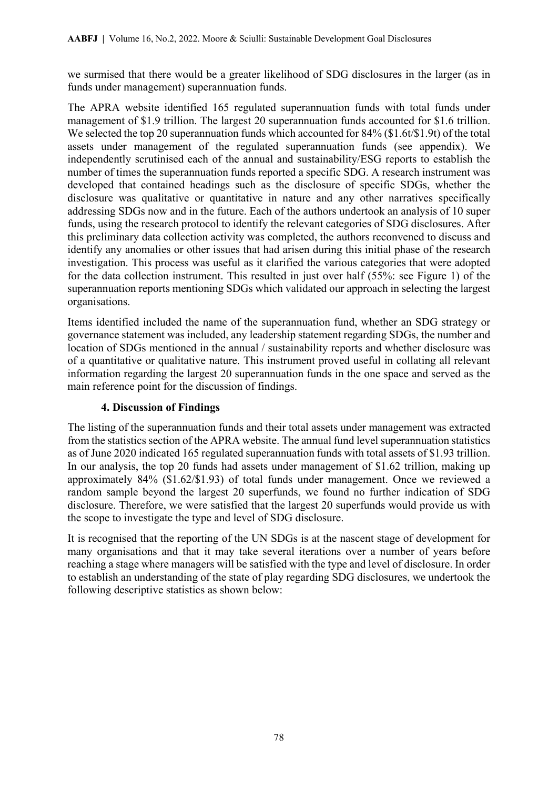we surmised that there would be a greater likelihood of SDG disclosures in the larger (as in funds under management) superannuation funds.

The APRA website identified 165 regulated superannuation funds with total funds under management of \$1.9 trillion. The largest 20 superannuation funds accounted for \$1.6 trillion. We selected the top 20 superannuation funds which accounted for 84% (\$1.6t/\$1.9t) of the total assets under management of the regulated superannuation funds (see appendix). We independently scrutinised each of the annual and sustainability/ESG reports to establish the number of times the superannuation funds reported a specific SDG. A research instrument was developed that contained headings such as the disclosure of specific SDGs, whether the disclosure was qualitative or quantitative in nature and any other narratives specifically addressing SDGs now and in the future. Each of the authors undertook an analysis of 10 super funds, using the research protocol to identify the relevant categories of SDG disclosures. After this preliminary data collection activity was completed, the authors reconvened to discuss and identify any anomalies or other issues that had arisen during this initial phase of the research investigation. This process was useful as it clarified the various categories that were adopted for the data collection instrument. This resulted in just over half (55%: see Figure 1) of the superannuation reports mentioning SDGs which validated our approach in selecting the largest organisations.

Items identified included the name of the superannuation fund, whether an SDG strategy or governance statement was included, any leadership statement regarding SDGs, the number and location of SDGs mentioned in the annual / sustainability reports and whether disclosure was of a quantitative or qualitative nature. This instrument proved useful in collating all relevant information regarding the largest 20 superannuation funds in the one space and served as the main reference point for the discussion of findings.

### **4. Discussion of Findings**

The listing of the superannuation funds and their total assets under management was extracted from the statistics section of the APRA website. The annual fund level superannuation statistics as of June 2020 indicated 165 regulated superannuation funds with total assets of \$1.93 trillion. In our analysis, the top 20 funds had assets under management of \$1.62 trillion, making up approximately 84% (\$1.62/\$1.93) of total funds under management. Once we reviewed a random sample beyond the largest 20 superfunds, we found no further indication of SDG disclosure. Therefore, we were satisfied that the largest 20 superfunds would provide us with the scope to investigate the type and level of SDG disclosure.

It is recognised that the reporting of the UN SDGs is at the nascent stage of development for many organisations and that it may take several iterations over a number of years before reaching a stage where managers will be satisfied with the type and level of disclosure. In order to establish an understanding of the state of play regarding SDG disclosures, we undertook the following descriptive statistics as shown below: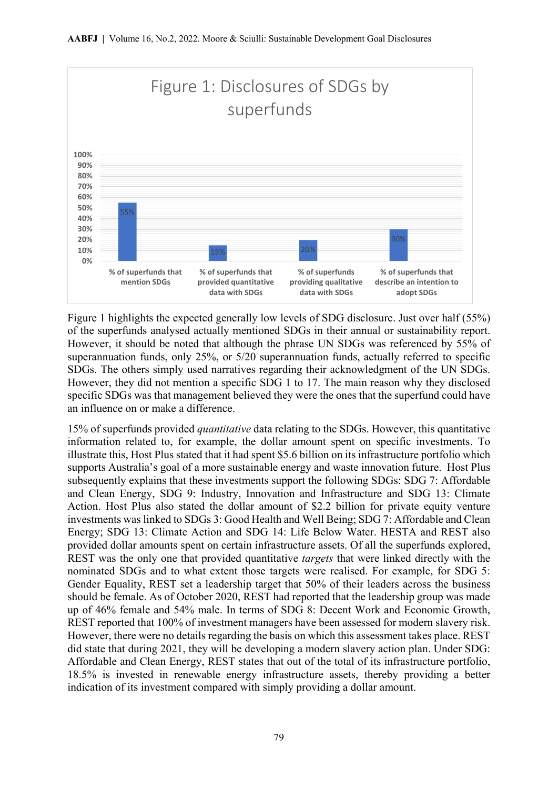

Figure 1 highlights the expected generally low levels of SDG disclosure. Just over half (55%) of the superfunds analysed actually mentioned SDGs in their annual or sustainability report. However, it should be noted that although the phrase UN SDGs was referenced by 55% of superannuation funds, only 25%, or 5/20 superannuation funds, actually referred to specific SDGs. The others simply used narratives regarding their acknowledgment of the UN SDGs. However, they did not mention a specific SDG 1 to 17. The main reason why they disclosed specific SDGs was that management believed they were the ones that the superfund could have an influence on or make a difference.

15% of superfunds provided *quantitative* data relating to the SDGs. However, this quantitative information related to, for example, the dollar amount spent on specific investments. To illustrate this, Host Plus stated that it had spent \$5.6 billion on its infrastructure portfolio which supports Australia's goal of a more sustainable energy and waste innovation future. Host Plus subsequently explains that these investments support the following SDGs: SDG 7: Affordable and Clean Energy, SDG 9: Industry, Innovation and Infrastructure and SDG 13: Climate Action. Host Plus also stated the dollar amount of \$2.2 billion for private equity venture investments was linked to SDGs 3: Good Health and Well Being; SDG 7: Affordable and Clean Energy; SDG 13: Climate Action and SDG 14: Life Below Water. HESTA and REST also provided dollar amounts spent on certain infrastructure assets. Of all the superfunds explored, REST was the only one that provided quantitative *targets* that were linked directly with the nominated SDGs and to what extent those targets were realised. For example, for SDG 5: Gender Equality, REST set a leadership target that 50% of their leaders across the business should be female. As of October 2020, REST had reported that the leadership group was made up of 46% female and 54% male. In terms of SDG 8: Decent Work and Economic Growth, REST reported that 100% of investment managers have been assessed for modern slavery risk. However, there were no details regarding the basis on which this assessment takes place. REST did state that during 2021, they will be developing a modern slavery action plan. Under SDG: Affordable and Clean Energy, REST states that out of the total of its infrastructure portfolio, 18.5% is invested in renewable energy infrastructure assets, thereby providing a better indication of its investment compared with simply providing a dollar amount.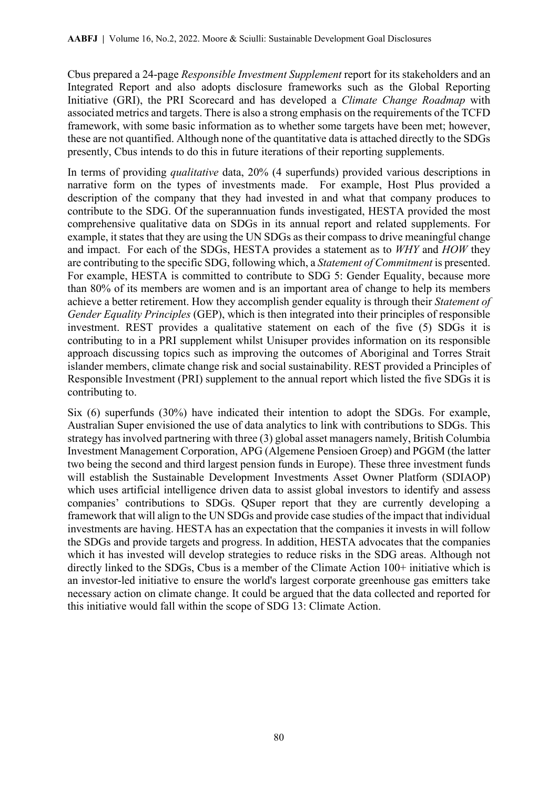Cbus prepared a 24-page *Responsible Investment Supplement* report for its stakeholders and an Integrated Report and also adopts disclosure frameworks such as the Global Reporting Initiative (GRI), the PRI Scorecard and has developed a *Climate Change Roadmap* with associated metrics and targets. There is also a strong emphasis on the requirements of the TCFD framework, with some basic information as to whether some targets have been met; however, these are not quantified. Although none of the quantitative data is attached directly to the SDGs presently, Cbus intends to do this in future iterations of their reporting supplements.

In terms of providing *qualitative* data, 20% (4 superfunds) provided various descriptions in narrative form on the types of investments made. For example, Host Plus provided a description of the company that they had invested in and what that company produces to contribute to the SDG. Of the superannuation funds investigated, HESTA provided the most comprehensive qualitative data on SDGs in its annual report and related supplements. For example, it states that they are using the UN SDGs as their compass to drive meaningful change and impact. For each of the SDGs, HESTA provides a statement as to *WHY* and *HOW* they are contributing to the specific SDG, following which, a *Statement of Commitment* is presented. For example, HESTA is committed to contribute to SDG 5: Gender Equality, because more than 80% of its members are women and is an important area of change to help its members achieve a better retirement. How they accomplish gender equality is through their *Statement of Gender Equality Principles* (GEP), which is then integrated into their principles of responsible investment. REST provides a qualitative statement on each of the five (5) SDGs it is contributing to in a PRI supplement whilst Unisuper provides information on its responsible approach discussing topics such as improving the outcomes of Aboriginal and Torres Strait islander members, climate change risk and social sustainability. REST provided a Principles of Responsible Investment (PRI) supplement to the annual report which listed the five SDGs it is contributing to.

Six (6) superfunds (30%) have indicated their intention to adopt the SDGs. For example, Australian Super envisioned the use of data analytics to link with contributions to SDGs. This strategy has involved partnering with three (3) global asset managers namely, British Columbia Investment Management Corporation, APG (Algemene Pensioen Groep) and PGGM (the latter two being the second and third largest pension funds in Europe). These three investment funds will establish the Sustainable Development Investments Asset Owner Platform (SDIAOP) which uses artificial intelligence driven data to assist global investors to identify and assess companies' contributions to SDGs. QSuper report that they are currently developing a framework that will align to the UN SDGs and provide case studies of the impact that individual investments are having. HESTA has an expectation that the companies it invests in will follow the SDGs and provide targets and progress. In addition, HESTA advocates that the companies which it has invested will develop strategies to reduce risks in the SDG areas. Although not directly linked to the SDGs, Cbus is a member of the Climate Action 100+ initiative which is an investor-led initiative to ensure the world's largest corporate greenhouse gas emitters take necessary action on climate change. It could be argued that the data collected and reported for this initiative would fall within the scope of SDG 13: Climate Action.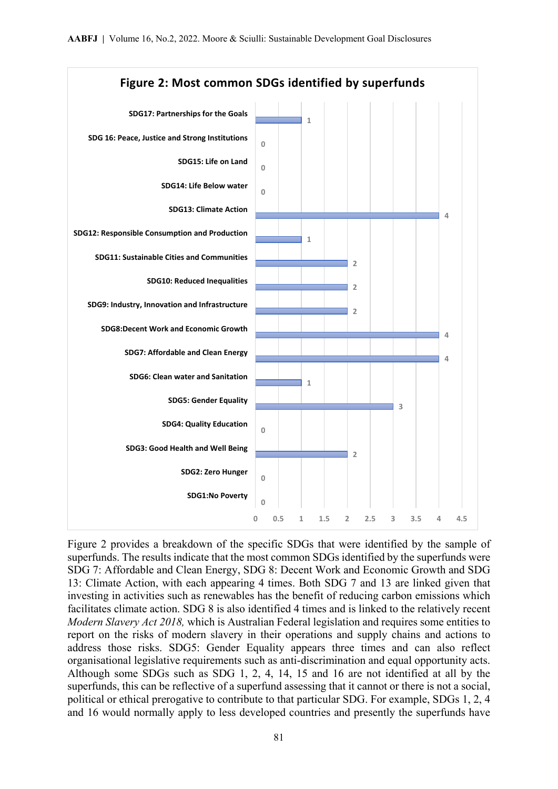

Figure 2 provides a breakdown of the specific SDGs that were identified by the sample of superfunds. The results indicate that the most common SDGs identified by the superfunds were SDG 7: Affordable and Clean Energy, SDG 8: Decent Work and Economic Growth and SDG 13: Climate Action, with each appearing 4 times. Both SDG 7 and 13 are linked given that investing in activities such as renewables has the benefit of reducing carbon emissions which facilitates climate action. SDG 8 is also identified 4 times and is linked to the relatively recent *Modern Slavery Act 2018,* which is Australian Federal legislation and requires some entities to report on the risks of modern slavery in their operations and supply chains and actions to address those risks. SDG5: Gender Equality appears three times and can also reflect organisational legislative requirements such as anti-discrimination and equal opportunity acts. Although some SDGs such as SDG 1, 2, 4, 14, 15 and 16 are not identified at all by the superfunds, this can be reflective of a superfund assessing that it cannot or there is not a social, political or ethical prerogative to contribute to that particular SDG. For example, SDGs 1, 2, 4 and 16 would normally apply to less developed countries and presently the superfunds have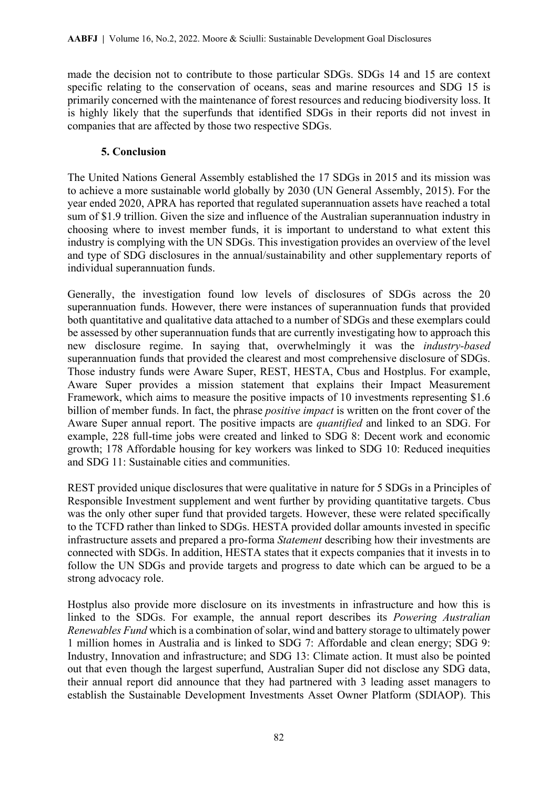made the decision not to contribute to those particular SDGs. SDGs 14 and 15 are context specific relating to the conservation of oceans, seas and marine resources and SDG 15 is primarily concerned with the maintenance of forest resources and reducing biodiversity loss. It is highly likely that the superfunds that identified SDGs in their reports did not invest in companies that are affected by those two respective SDGs.

### **5. Conclusion**

The United Nations General Assembly established the 17 SDGs in 2015 and its mission was to achieve a more sustainable world globally by 2030 (UN General Assembly, 2015). For the year ended 2020, APRA has reported that regulated superannuation assets have reached a total sum of \$1.9 trillion. Given the size and influence of the Australian superannuation industry in choosing where to invest member funds, it is important to understand to what extent this industry is complying with the UN SDGs. This investigation provides an overview of the level and type of SDG disclosures in the annual/sustainability and other supplementary reports of individual superannuation funds.

Generally, the investigation found low levels of disclosures of SDGs across the 20 superannuation funds. However, there were instances of superannuation funds that provided both quantitative and qualitative data attached to a number of SDGs and these exemplars could be assessed by other superannuation funds that are currently investigating how to approach this new disclosure regime. In saying that, overwhelmingly it was the *industry-based* superannuation funds that provided the clearest and most comprehensive disclosure of SDGs. Those industry funds were Aware Super, REST, HESTA, Cbus and Hostplus. For example, Aware Super provides a mission statement that explains their Impact Measurement Framework, which aims to measure the positive impacts of 10 investments representing \$1.6 billion of member funds. In fact, the phrase *positive impact* is written on the front cover of the Aware Super annual report. The positive impacts are *quantified* and linked to an SDG. For example, 228 full-time jobs were created and linked to SDG 8: Decent work and economic growth; 178 Affordable housing for key workers was linked to SDG 10: Reduced inequities and SDG 11: Sustainable cities and communities.

REST provided unique disclosures that were qualitative in nature for 5 SDGs in a Principles of Responsible Investment supplement and went further by providing quantitative targets. Cbus was the only other super fund that provided targets. However, these were related specifically to the TCFD rather than linked to SDGs. HESTA provided dollar amounts invested in specific infrastructure assets and prepared a pro-forma *Statement* describing how their investments are connected with SDGs. In addition, HESTA states that it expects companies that it invests in to follow the UN SDGs and provide targets and progress to date which can be argued to be a strong advocacy role.

Hostplus also provide more disclosure on its investments in infrastructure and how this is linked to the SDGs. For example, the annual report describes its *Powering Australian Renewables Fund* which is a combination of solar, wind and battery storage to ultimately power 1 million homes in Australia and is linked to SDG 7: Affordable and clean energy; SDG 9: Industry, Innovation and infrastructure; and SDG 13: Climate action. It must also be pointed out that even though the largest superfund, Australian Super did not disclose any SDG data, their annual report did announce that they had partnered with 3 leading asset managers to establish the Sustainable Development Investments Asset Owner Platform (SDIAOP). This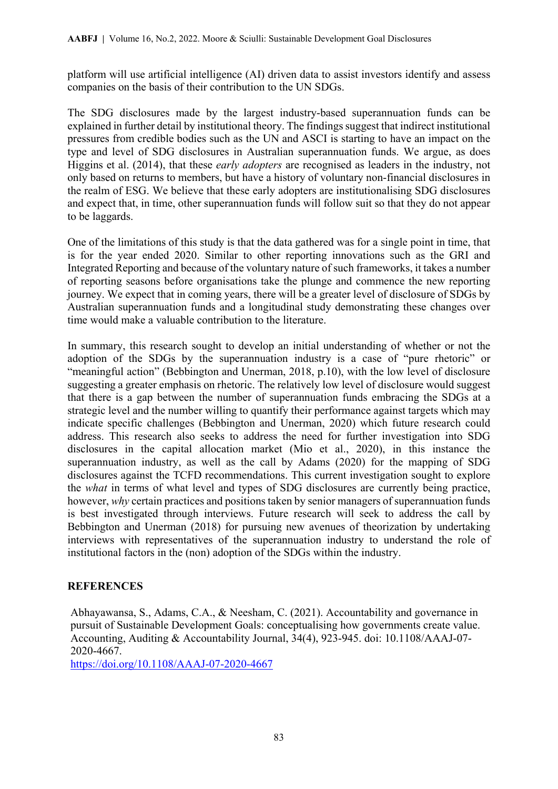platform will use artificial intelligence (AI) driven data to assist investors identify and assess companies on the basis of their contribution to the UN SDGs.

The SDG disclosures made by the largest industry-based superannuation funds can be explained in further detail by institutional theory. The findings suggest that indirect institutional pressures from credible bodies such as the UN and ASCI is starting to have an impact on the type and level of SDG disclosures in Australian superannuation funds. We argue, as does Higgins et al. (2014), that these *early adopters* are recognised as leaders in the industry, not only based on returns to members, but have a history of voluntary non-financial disclosures in the realm of ESG. We believe that these early adopters are institutionalising SDG disclosures and expect that, in time, other superannuation funds will follow suit so that they do not appear to be laggards.

One of the limitations of this study is that the data gathered was for a single point in time, that is for the year ended 2020. Similar to other reporting innovations such as the GRI and Integrated Reporting and because of the voluntary nature of such frameworks, it takes a number of reporting seasons before organisations take the plunge and commence the new reporting journey. We expect that in coming years, there will be a greater level of disclosure of SDGs by Australian superannuation funds and a longitudinal study demonstrating these changes over time would make a valuable contribution to the literature.

In summary, this research sought to develop an initial understanding of whether or not the adoption of the SDGs by the superannuation industry is a case of "pure rhetoric" or "meaningful action" (Bebbington and Unerman, 2018, p.10), with the low level of disclosure suggesting a greater emphasis on rhetoric. The relatively low level of disclosure would suggest that there is a gap between the number of superannuation funds embracing the SDGs at a strategic level and the number willing to quantify their performance against targets which may indicate specific challenges (Bebbington and Unerman, 2020) which future research could address. This research also seeks to address the need for further investigation into SDG disclosures in the capital allocation market (Mio et al., 2020), in this instance the superannuation industry, as well as the call by Adams (2020) for the mapping of SDG disclosures against the TCFD recommendations. This current investigation sought to explore the *what* in terms of what level and types of SDG disclosures are currently being practice, however, *why* certain practices and positions taken by senior managers of superannuation funds is best investigated through interviews. Future research will seek to address the call by Bebbington and Unerman (2018) for pursuing new avenues of theorization by undertaking interviews with representatives of the superannuation industry to understand the role of institutional factors in the (non) adoption of the SDGs within the industry.

### **REFERENCES**

Abhayawansa, S., Adams, C.A., & Neesham, C. (2021). Accountability and governance in pursuit of Sustainable Development Goals: conceptualising how governments create value. Accounting, Auditing & Accountability Journal, 34(4), 923-945. doi: 10.1108/AAAJ-07- 2020-4667.

<https://doi.org/10.1108/AAAJ-07-2020-4667>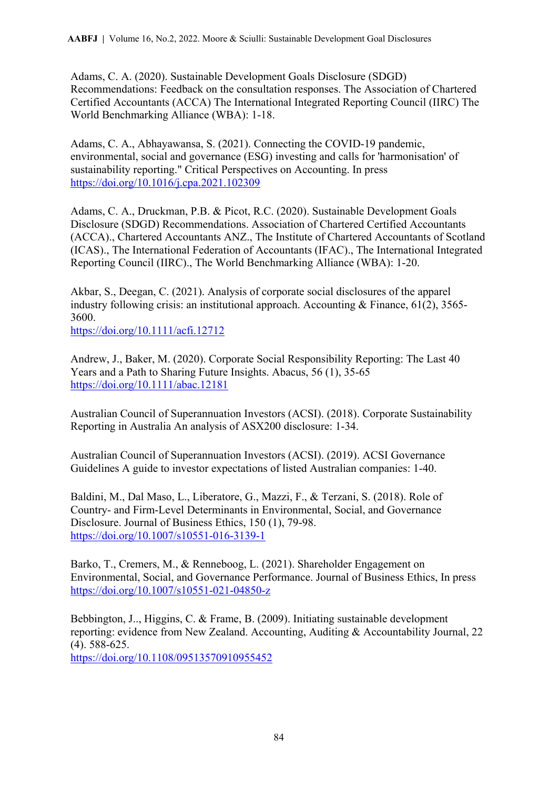Adams, C. A. (2020). Sustainable Development Goals Disclosure (SDGD) Recommendations: Feedback on the consultation responses. The Association of Chartered Certified Accountants (ACCA) The International Integrated Reporting Council (IIRC) The World Benchmarking Alliance (WBA): 1-18.

Adams, C. A., Abhayawansa, S. (2021). Connecting the COVID-19 pandemic, environmental, social and governance (ESG) investing and calls for 'harmonisation' of sustainability reporting." Critical Perspectives on Accounting. In press <https://doi.org/10.1016/j.cpa.2021.102309>

Adams, C. A., Druckman, P.B. & Picot, R.C. (2020). Sustainable Development Goals Disclosure (SDGD) Recommendations. Association of Chartered Certified Accountants (ACCA)., Chartered Accountants ANZ., The Institute of Chartered Accountants of Scotland (ICAS)., The International Federation of Accountants (IFAC)., The International Integrated Reporting Council (IIRC)., The World Benchmarking Alliance (WBA): 1-20.

Akbar, S., Deegan, C. (2021). Analysis of corporate social disclosures of the apparel industry following crisis: an institutional approach. Accounting & Finance, 61(2), 3565- 3600.

<https://doi.org/10.1111/acfi.12712>

Andrew, J., Baker, M. (2020). Corporate Social Responsibility Reporting: The Last 40 Years and a Path to Sharing Future Insights. Abacus, 56 (1), 35-65 <https://doi.org/10.1111/abac.12181>

Australian Council of Superannuation Investors (ACSI). (2018). Corporate Sustainability Reporting in Australia An analysis of ASX200 disclosure: 1-34.

Australian Council of Superannuation Investors (ACSI). (2019). ACSI Governance Guidelines A guide to investor expectations of listed Australian companies: 1-40.

Baldini, M., Dal Maso, L., Liberatore, G., Mazzi, F., & Terzani, S. (2018). Role of Country- and Firm-Level Determinants in Environmental, Social, and Governance Disclosure. Journal of Business Ethics, 150 (1), 79-98. <https://doi.org/10.1007/s10551-016-3139-1>

Barko, T., Cremers, M., & Renneboog, L. (2021). Shareholder Engagement on Environmental, Social, and Governance Performance. Journal of Business Ethics, In press <https://doi.org/10.1007/s10551-021-04850-z>

Bebbington, J.., Higgins, C. & Frame, B. (2009). Initiating sustainable development reporting: evidence from New Zealand. Accounting, Auditing & Accountability Journal, 22 (4). 588-625. <https://doi.org/10.1108/09513570910955452>

84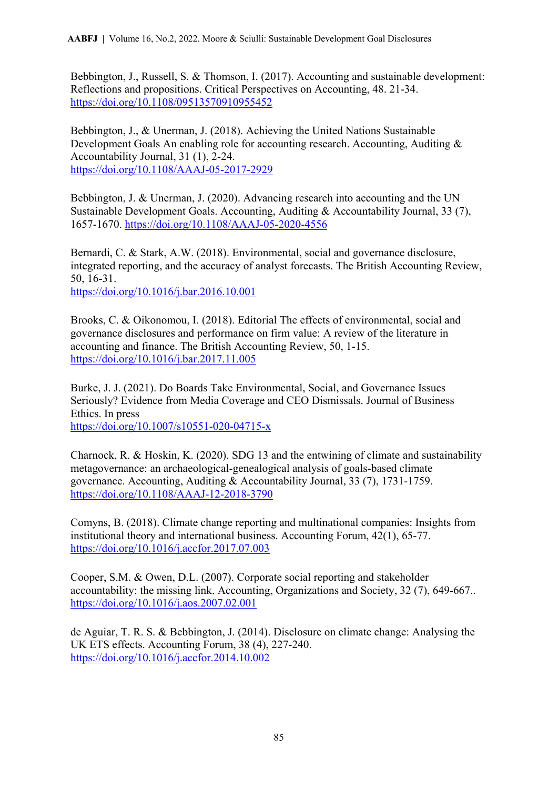Bebbington, J., Russell, S. & Thomson, I. (2017). Accounting and sustainable development: Reflections and propositions. Critical Perspectives on Accounting, 48. 21-34. <https://doi.org/10.1108/09513570910955452>

Bebbington, J., & Unerman, J. (2018). Achieving the United Nations Sustainable Development Goals An enabling role for accounting research. Accounting, Auditing & Accountability Journal, 31 (1), 2-24. <https://doi.org/10.1108/AAAJ-05-2017-2929>

Bebbington, J. & Unerman, J. (2020). Advancing research into accounting and the UN Sustainable Development Goals. Accounting, Auditing & Accountability Journal, 33 (7), 1657-1670.<https://doi.org/10.1108/AAAJ-05-2020-4556>

Bernardi, C. & Stark, A.W. (2018). Environmental, social and governance disclosure, integrated reporting, and the accuracy of analyst forecasts. The British Accounting Review, 50, 16-31.

<https://doi.org/10.1016/j.bar.2016.10.001>

Brooks, C. & Oikonomou, I. (2018). Editorial The effects of environmental, social and governance disclosures and performance on firm value: A review of the literature in accounting and finance. The British Accounting Review, 50, 1-15. <https://doi.org/10.1016/j.bar.2017.11.005>

Burke, J. J. (2021). Do Boards Take Environmental, Social, and Governance Issues Seriously? Evidence from Media Coverage and CEO Dismissals. Journal of Business Ethics. In press <https://doi.org/10.1007/s10551-020-04715-x>

Charnock, R. & Hoskin, K. (2020). SDG 13 and the entwining of climate and sustainability metagovernance: an archaeological-genealogical analysis of goals-based climate governance. Accounting, Auditing & Accountability Journal, 33 (7), 1731-1759. <https://doi.org/10.1108/AAAJ-12-2018-3790>

Comyns, B. (2018). Climate change reporting and multinational companies: Insights from institutional theory and international business. Accounting Forum, 42(1), 65-77. <https://doi.org/10.1016/j.accfor.2017.07.003>

Cooper, S.M. & Owen, D.L. (2007). Corporate social reporting and stakeholder accountability: the missing link. Accounting, Organizations and Society, 32 (7), 649-667.. <https://doi.org/10.1016/j.aos.2007.02.001>

de Aguiar, T. R. S. & Bebbington, J. (2014). Disclosure on climate change: Analysing the UK ETS effects. Accounting Forum, 38 (4), 227-240. <https://doi.org/10.1016/j.accfor.2014.10.002>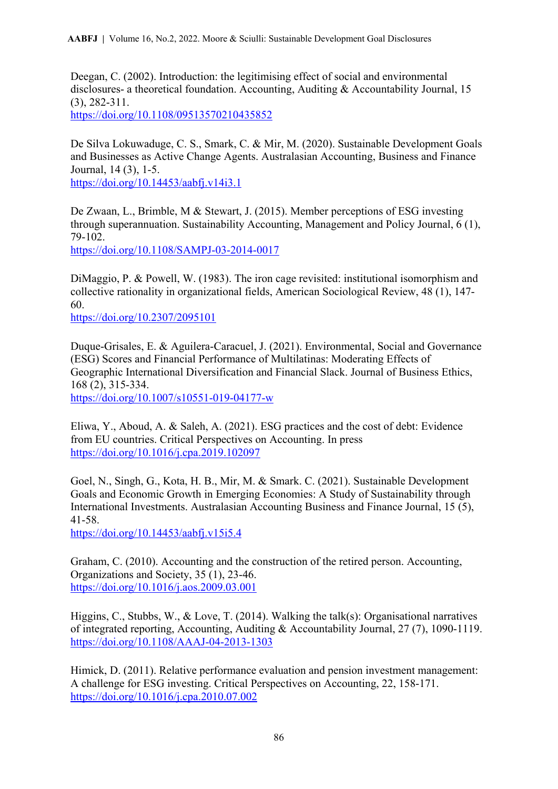Deegan, C. (2002). Introduction: the legitimising effect of social and environmental disclosures- a theoretical foundation. Accounting, Auditing & Accountability Journal, 15 (3), 282-311. <https://doi.org/10.1108/09513570210435852>

De Silva Lokuwaduge, C. S., Smark, C. & Mir, M. (2020). Sustainable Development Goals and Businesses as Active Change Agents. Australasian Accounting, Business and Finance Journal, 14 (3), 1-5. <https://doi.org/10.14453/aabfj.v14i3.1>

De Zwaan, L., Brimble, M & Stewart, J. (2015). Member perceptions of ESG investing through superannuation. Sustainability Accounting, Management and Policy Journal, 6 (1), 79-102. <https://doi.org/10.1108/SAMPJ-03-2014-0017>

DiMaggio, P. & Powell, W. (1983). The iron cage revisited: institutional isomorphism and collective rationality in organizational fields, American Sociological Review, 48 (1), 147- 60.

<https://doi.org/10.2307/2095101>

Duque-Grisales, E. & Aguilera-Caracuel, J. (2021). Environmental, Social and Governance (ESG) Scores and Financial Performance of Multilatinas: Moderating Effects of Geographic International Diversification and Financial Slack. Journal of Business Ethics, 168 (2), 315-334. <https://doi.org/10.1007/s10551-019-04177-w>

Eliwa, Y., Aboud, A. & Saleh, A. (2021). ESG practices and the cost of debt: Evidence from EU countries. Critical Perspectives on Accounting. In press <https://doi.org/10.1016/j.cpa.2019.102097>

Goel, N., Singh, G., Kota, H. B., Mir, M. & Smark. C. (2021). Sustainable Development Goals and Economic Growth in Emerging Economies: A Study of Sustainability through International Investments. Australasian Accounting Business and Finance Journal, 15 (5), 41-58.

<https://doi.org/10.14453/aabfj.v15i5.4>

Graham, C. (2010). Accounting and the construction of the retired person. Accounting, Organizations and Society, 35 (1), 23-46. <https://doi.org/10.1016/j.aos.2009.03.001>

Higgins, C., Stubbs, W., & Love, T. (2014). Walking the talk(s): Organisational narratives of integrated reporting, Accounting, Auditing & Accountability Journal, 27 (7), 1090-1119. <https://doi.org/10.1108/AAAJ-04-2013-1303>

Himick, D. (2011). Relative performance evaluation and pension investment management: A challenge for ESG investing. Critical Perspectives on Accounting, 22, 158-171. <https://doi.org/10.1016/j.cpa.2010.07.002>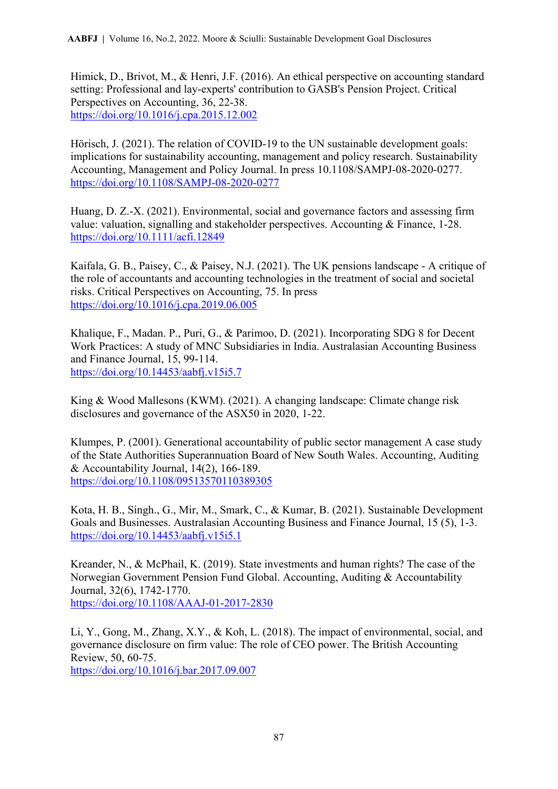Himick, D., Brivot, M., & Henri, J.F. (2016). An ethical perspective on accounting standard setting: Professional and lay-experts' contribution to GASB's Pension Project. Critical Perspectives on Accounting, 36, 22-38. <https://doi.org/10.1016/j.cpa.2015.12.002>

Hörisch, J. (2021). The relation of COVID-19 to the UN sustainable development goals: implications for sustainability accounting, management and policy research. Sustainability Accounting, Management and Policy Journal. In press 10.1108/SAMPJ-08-2020-0277. <https://doi.org/10.1108/SAMPJ-08-2020-0277>

Huang, D. Z.-X. (2021). Environmental, social and governance factors and assessing firm value: valuation, signalling and stakeholder perspectives. Accounting & Finance, 1-28. <https://doi.org/10.1111/acfi.12849>

Kaifala, G. B., Paisey, C., & Paisey, N.J. (2021). The UK pensions landscape - A critique of the role of accountants and accounting technologies in the treatment of social and societal risks. Critical Perspectives on Accounting, 75. In press <https://doi.org/10.1016/j.cpa.2019.06.005>

Khalique, F., Madan. P., Puri, G., & Parimoo, D. (2021). Incorporating SDG 8 for Decent Work Practices: A study of MNC Subsidiaries in India. Australasian Accounting Business and Finance Journal, 15, 99-114. <https://doi.org/10.14453/aabfj.v15i5.7>

King & Wood Mallesons (KWM). (2021). A changing landscape: Climate change risk disclosures and governance of the ASX50 in 2020, 1-22.

Klumpes, P. (2001). Generational accountability of public sector management A case study of the State Authorities Superannuation Board of New South Wales. Accounting, Auditing & Accountability Journal,  $14(2)$ ,  $166-189$ . <https://doi.org/10.1108/09513570110389305>

Kota, H. B., Singh., G., Mir, M., Smark, C., & Kumar, B. (2021). Sustainable Development Goals and Businesses. Australasian Accounting Business and Finance Journal, 15 (5), 1-3. <https://doi.org/10.14453/aabfj.v15i5.1>

Kreander, N., & McPhail, K. (2019). State investments and human rights? The case of the Norwegian Government Pension Fund Global. Accounting, Auditing & Accountability Journal, 32(6), 1742-1770. <https://doi.org/10.1108/AAAJ-01-2017-2830>

Li, Y., Gong, M., Zhang, X.Y., & Koh, L. (2018). The impact of environmental, social, and governance disclosure on firm value: The role of CEO power. The British Accounting Review, 50, 60-75. <https://doi.org/10.1016/j.bar.2017.09.007>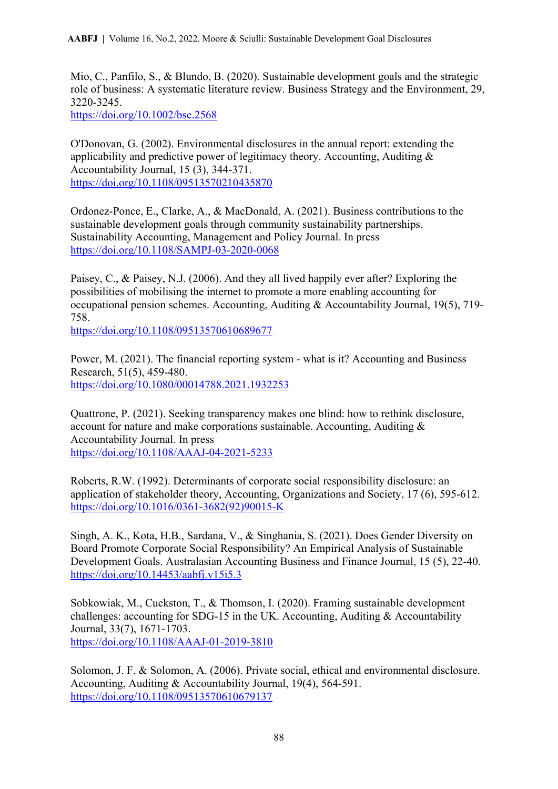Mio, C., Panfilo, S., & Blundo, B. (2020). Sustainable development goals and the strategic role of business: A systematic literature review. Business Strategy and the Environment, 29, 3220-3245.

<https://doi.org/10.1002/bse.2568>

O'Donovan, G. (2002). Environmental disclosures in the annual report: extending the applicability and predictive power of legitimacy theory. Accounting, Auditing & Accountability Journal, 15 (3), 344-371. <https://doi.org/10.1108/09513570210435870>

Ordonez-Ponce, E., Clarke, A., & MacDonald, A. (2021). Business contributions to the sustainable development goals through community sustainability partnerships. Sustainability Accounting, Management and Policy Journal. In press <https://doi.org/10.1108/SAMPJ-03-2020-0068>

Paisey, C., & Paisey, N.J. (2006). And they all lived happily ever after? Exploring the possibilities of mobilising the internet to promote a more enabling accounting for occupational pension schemes. Accounting, Auditing & Accountability Journal, 19(5), 719- 758.

<https://doi.org/10.1108/09513570610689677>

Power, M. (2021). The financial reporting system - what is it? Accounting and Business Research, 51(5), 459-480. <https://doi.org/10.1080/00014788.2021.1932253>

Quattrone, P. (2021). Seeking transparency makes one blind: how to rethink disclosure, account for nature and make corporations sustainable. Accounting, Auditing  $\&$ Accountability Journal. In press <https://doi.org/10.1108/AAAJ-04-2021-5233>

Roberts, R.W. (1992). Determinants of corporate social responsibility disclosure: an application of stakeholder theory, Accounting, Organizations and Society, 17 (6), 595-612. [https://doi.org/10.1016/0361-3682\(92\)90015-K](https://doi.org/10.1016/0361-3682(92)90015-K)

Singh, A. K., Kota, H.B., Sardana, V., & Singhania, S. (2021). Does Gender Diversity on Board Promote Corporate Social Responsibility? An Empirical Analysis of Sustainable Development Goals. Australasian Accounting Business and Finance Journal, 15 (5), 22-40. <https://doi.org/10.14453/aabfj.v15i5.3>

Sobkowiak, M., Cuckston, T., & Thomson, I. (2020). Framing sustainable development challenges: accounting for SDG-15 in the UK. Accounting, Auditing & Accountability Journal, 33(7), 1671-1703. <https://doi.org/10.1108/AAAJ-01-2019-3810>

Solomon, J. F. & Solomon, A. (2006). Private social, ethical and environmental disclosure. Accounting, Auditing & Accountability Journal, 19(4), 564-591. <https://doi.org/10.1108/09513570610679137>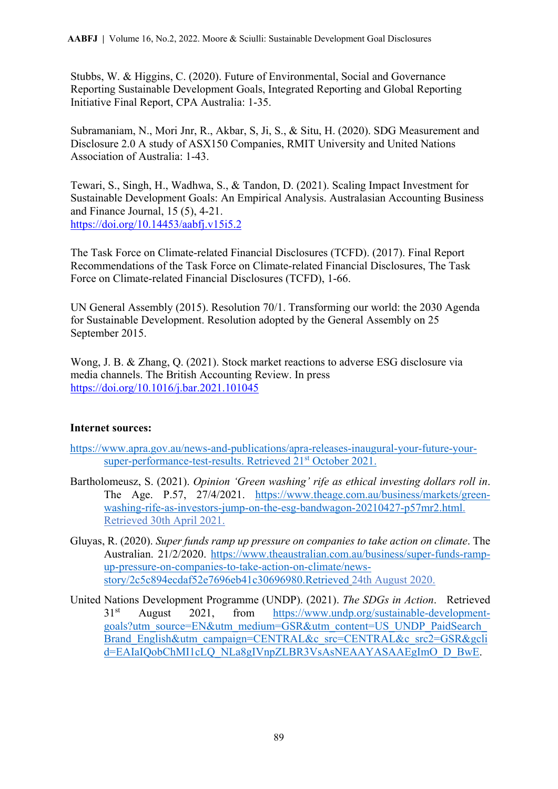Stubbs, W. & Higgins, C. (2020). Future of Environmental, Social and Governance Reporting Sustainable Development Goals, Integrated Reporting and Global Reporting Initiative Final Report, CPA Australia: 1-35.

Subramaniam, N., Mori Jnr, R., Akbar, S, Ji, S., & Situ, H. (2020). SDG Measurement and Disclosure 2.0 A study of ASX150 Companies, RMIT University and United Nations Association of Australia: 1-43.

Tewari, S., Singh, H., Wadhwa, S., & Tandon, D. (2021). Scaling Impact Investment for Sustainable Development Goals: An Empirical Analysis. Australasian Accounting Business and Finance Journal, 15 (5), 4-21. <https://doi.org/10.14453/aabfj.v15i5.2>

The Task Force on Climate-related Financial Disclosures (TCFD). (2017). Final Report Recommendations of the Task Force on Climate-related Financial Disclosures, The Task Force on Climate-related Financial Disclosures (TCFD), 1-66.

UN General Assembly (2015). Resolution 70/1. Transforming our world: the 2030 Agenda for Sustainable Development. Resolution adopted by the General Assembly on 25 September 2015.

Wong, J. B. & Zhang, Q. (2021). Stock market reactions to adverse ESG disclosure via media channels. The British Accounting Review. In press <https://doi.org/10.1016/j.bar.2021.101045>

### **Internet sources:**

[https://www.apra.gov.au/news-and-publications/apra-releases-inaugural-your-future-your](about:blank)[super-performance-test-results.](about:blank) Retrieved 21st October 2021.

- Bartholomeusz, S. (2021). *Opinion 'Green washing' rife as ethical investing dollars roll in*. The Age. P.57, 27/4/2021. [https://www.theage.com.au/business/markets/green](about:blank)[washing-rife-as-investors-jump-on-the-esg-bandwagon-20210427-p57mr2.html.](about:blank) Retrieved 30th April 2021.
- Gluyas, R. (2020). *Super funds ramp up pressure on companies to take action on climate*. The Australian. 21/2/2020. [https://www.theaustralian.com.au/business/super-funds-ramp](https://www.theaustralian.com.au/business/super-funds-ramp-up-pressure-on-companies-to-take-action-on-climate/news-story/2c5c894ecdaf52e7696eb41c30696980.Retrieved)[up-pressure-on-companies-to-take-action-on-climate/news](https://www.theaustralian.com.au/business/super-funds-ramp-up-pressure-on-companies-to-take-action-on-climate/news-story/2c5c894ecdaf52e7696eb41c30696980.Retrieved)[story/2c5c894ecdaf52e7696eb41c30696980.Retrieved](https://www.theaustralian.com.au/business/super-funds-ramp-up-pressure-on-companies-to-take-action-on-climate/news-story/2c5c894ecdaf52e7696eb41c30696980.Retrieved) 24th August 2020.
- United Nations Development Programme (UNDP). (2021). *The SDGs in Action*. Retrieved 31st August 2021, from [https://www.undp.org/sustainable-development](about:blank)[goals?utm\\_source=EN&utm\\_medium=GSR&utm\\_content=US\\_UNDP\\_PaidSearch\\_](about:blank) [Brand\\_English&utm\\_campaign=CENTRAL&c\\_src=CENTRAL&c\\_src2=GSR&gcli](about:blank) [d=EAIaIQobChMI1cLQ\\_NLa8gIVnpZLBR3VsAsNEAAYASAAEgImO\\_D\\_BwE.](about:blank)